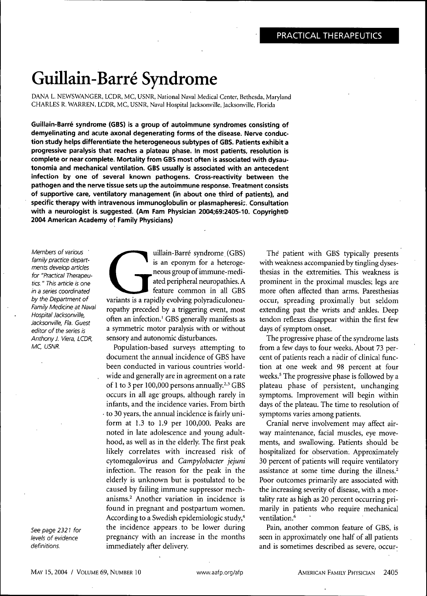# Guillain-Barre Syndrome

DANA L. NEWSWANGER, LCDR, MC, USNR, National Naval Medical Center, Bethesda, Maryland CHARLES R. WARREN, LCDR, MC, USNR, Naval Hospital Jacksonville, Jacksonville, Florida

**Guillain-Barre syndrome (GBS) is a group of autoimmune syndromes consisting of demyelinating and acute axonal degenerating forms of the disease. Nerve conduction study helps differentiate the heterogeneous subtypes of GBS. Patients exhibit a progressive paralysis that reaches a plateau phase. In most patients, resolution is complete or near complete. Mortality from GBS most often is associated with dysautonomia and mechanical ventilation. GBS usually is associated with an antecedent infection by one of several known pathogens. Cross-reactivity between the pathogen and the nerve tissue sets up the autoimmune response. Treatment consists of supportive care, ventilatory management (in about one third of patients), and specific therapy with intravenous immunoglobulin or plasmapheresi::. Consultation with a neurologist is suggested. (Am Fam Physician 2004;69:2405-10. Copyright© 2004 American Academy of Family Physicians)**

Members of various ' family practice departments develop articles for "Practical Therapeutics. " This article is one in a series coordinated by the Department of Family Medicine at Naval Hospital Jacksonville, Jacksonville, Fla. Guest editor of the series is Anthony J. Viera, LCDR, MC, USNR.

See page 2321 for levels of evidence definitions.

uillain-Barré syndrome (GBS)<br>is an eponym for a heteroge-<br>neous group of immune-medi-<br>ated peripheral neuropathies. A<br>feature common in all GBS<br>variants is a rapidly evolving polyradiculoneuuillain-Barre syndrome (GBS) is an eponym for a heterogeneous group of immune-mediated peripheral neuropathies. A feature common in all GBS ropathy preceded by a triggering event, most often an infection.' GBS generally manifests as a symmetric motor paralysis with or without sensory and autonomic disturbances.

Populatioh-based surveys attempting to document the annual incidence of GBS have been conducted in various countries worldwide and generally are in agreement on a rate of 1 to 3 per 100,000 persons annually. $2,3$  GBS occurs in all age groups, although rarely in infants, and the incidence varies. From birth • to 30 years, the annual incidence is fairly uniform at 1.3 to 1.9 per 100,000. Peaks are noted in late adolescence and young adulthood, as well as in the elderly. The first peak likely correlates with increased risk of cytomegalovirus and *Campylobacter jejuni* infection. The reason for the peak in the elderly is unknown but is postulated to be caused by failing immune suppressor mechanisms.^ Another variation in incidence is found in pregnant and postpartum women. According to a Swedish epidemiologic study,<sup>4</sup> the incidence appears to be lower during pregnancy with an increase in the months immediately after delivery.

The patient with GBS typically presents with weakness accompanied by tingling dysesthesias in the extremities. This weakness is prominent in the proximal muscles; legs are more often affected than arms. Paresthesias occur, spreading proximally but seldom extending past the wrists and' ankles. Deep tendon reflexes disappear within the first few days of symptom onset.

The progressive phase of the syndrome lasts from a few days to four weeks. About 73 percent of patients reach a nadir of clinical function at one week and 98 percent at four weeks.<sup>5</sup> The progressive phase is followed by a plateau phase of persistent, unchanging symptoms. Improvement will begin within days of the plateau. The time to resolution of symptoms varies among patients.

Cranial nerve involvement may affect airway maintenance, facial muscles, eye movements, and swallowing. Patients should be hospitalized for observation. Approximately 30 percent of patients will require ventilatory assistance at some time during the illness. $2$ Poor outcomes primarily are associated with the increasing severity of disease, with a mortality rate as high as 20 percent occurring primarily in patients who require mechanical ventilation.<sup>6</sup>

Pain, another common feature of GBS, is seen in approximately one half of all patients and is sometimes described as severe, occur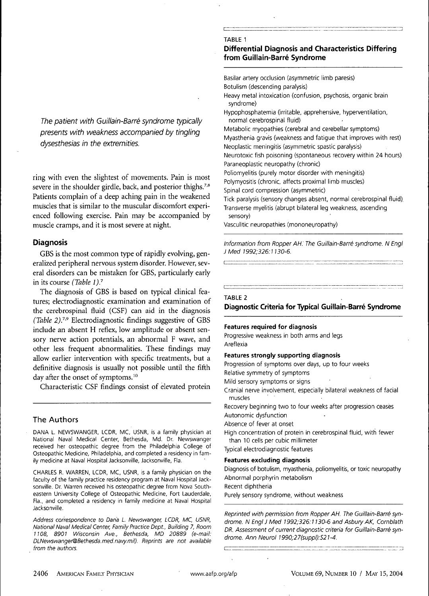The patient with Guillain-Barré syndrome typically presents with weakness accompanied by tingling dysesthesias in the extremities.

ring with even the slightest of movements. Pain is most severe in the shoulder girdle, back, and posterior thighs.<sup>7,8</sup> Patients complain of a deep aching pain in the weakened muscles that is similar to the muscular discomfort experienced following exercise. Pain may be accompanied by muscle cramps, and it is most severe at night.

## **Diagnosis**

GBS is the most common type of rapidly evolving, generalized peripheral nervous system disorder. However, several disorders can be mistaken for GBS, particularly early in its course *(Table 1).''*

The diagnosis of GBS is based on typical clinical features; electrodiagnostic examination and examination of the cerebrospinal fluid (CSF) can aid in the diagnosis *(Table 2)7-''* Electrodiagnostic findings suggestive of GBS include an absent H reflex, low amplitude or absent sensory nerve action potentials, an abnormal F wave, and other less frequent abnormalities. These findings may allow earlier intervention with specific treatments, but a definitive diagnosis is usually not possible until the fifth day after the onset of symptoms.<sup>10</sup>

Characteristic CSF findings consist of elevated protein

## **The Authors**

DANA L. NEWSWANGER, LCDR, MC, USNR, is a family physician at National Naval Medical Center, Bethesda, Md. Dr. Newswanger received her osteopathic degree from the Philadelphia College of Osteopathic Medicine, Philadelphia, and completed a residency in family medicine at Naval Hospital Jacksonville, Jacksonville, Fla.

CHARLES R. WARREN, LCDR, MC, USNR, is a family physician on the faculty of the family practice residency program at Naval Hospital Jacksonville. Dr. Warren received his osteopathic degree from Nova Southeastern University College of Osteopathic Medicine, Fort Lauderdale, Fla., and completed a residency in family medicine at Naval Hospital Jacksonville.

Address correspondence to Dana L. Newswanger, LCDR, MC, USNR, National Naval Medical Center, Family Practice Dept., Building 7, Room 1108, 8901 Wisconsin Ave., Bethesda, MD 20889 (e-mail: DLNewswanger@Bethesda.med.navy.mil). Reprints are not available from the authors.

#### **TABLE 1**

## **Differential Diagnosis and Characteristics Differing from Guillain-Barre Syndrome**

Basilar artery occlusion (asymmetric limb paresis) Botulism (descending paralysis) Heavy metal intoxication (confusion, psychosis, organic brain syndrome) Hypophosphatemia (irritable, apprehensive, hyperventilation, normal cerebrospinal fluid) Metabolic myopathies (cerebral and cerebellar symptoms) Myasthenia gravis (weakness and fatigue that improves with rest) Neoplastic meningitis (asymmetric spastic paralysis) Neurotoxic fish poisoning (spontaneous recovery within 24 hours) Paraneoplastic neuropathy (chronic) Poliomyelitis (purely motor disorder with meningitis) Polymyositis (chronic, affects proximal limb muscles) Spinal cord compression (asymmetric) Tick paralysis (sensory changes absent, normal cerebrospinai fluid). Transverse myelitis (abrupt bilateral leg weakness, ascending sensory) Vasculitic neuropathies (mononeuropathy)

Information from Ropper AH.' The Guiliain-Barre syndrome. N EngI JMed 1992:326:1130-6.

#### **TABLE 2**

**Diagnostic Criteria for Typical Guillain-Barre Syndrome**

#### **Features required for diagnosis**

Progressive weakness in both arms and legs Areflexia

**Features strongly supporting diagnosis**

Progression of symptoms over days, up to four weeks Relative symmetry of symptoms Mild sensory symptoms or signs Cranial nerve involvement, especially bilateral weakness of facial muscles

Recovery beginning two to four weeks after progression ceases Autonomic dysfunction

Absence of fever at onset

High concentration of protein in cerebrospinal fluid, with fewer than 10 cells per cubic millimeter

Typical electrodiagnostic features

#### **Features excluding diagnosis**

Diagnosis of botulism, myasthenia, poliomyelitis, or toxic neuropathy Abnormal porphyrin metabolism

Recent diphtheria

Purely sensory syndrome, without weakness

Reprinted with permission from Ropper AH. The Guillain-Barre syndrome. N EngI J Med 1992:326:1130-6 and Asbury AK, Cornblath DR. Assessment of current diagnostic criteria for Guillain-Barré syndrome. Ann Neurol 1990;27(suppl):S21-4.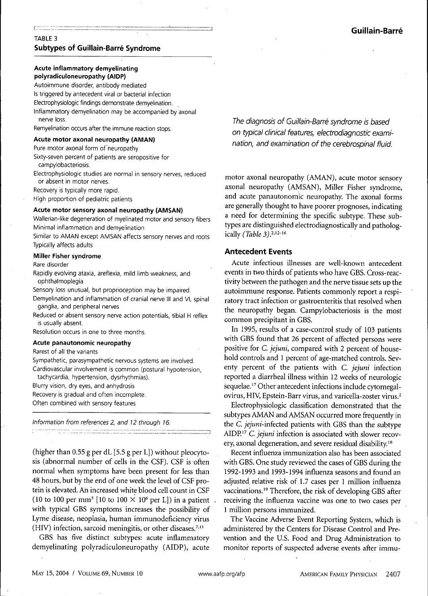# TABLE 3 **Subtypes of Guillain-Barre Syndrome**

## **Acute inflammatory demyelinating polyradiculoneuropathy (AIDP)**

Autoimmune disorder, antibody mediated

Is triggered by antecedent viral or bacterial infection

Electrophysiologic findings demonstrate demyelination.

Inflammatory demyelination may be accompanied by axonal nerve loss.

Remyelination occurs after the immune reaction stops.

#### **Acute motor axonal neuropathy (AMAN)**

Pure motor axonal form of neuropathy

- Sixty-seven percent of patients are seropositive for campylobacteriosis.
- Electrophysiologic studies are normal in sensory nerves, reduced or absent in motor nerves.

Recovery is typically more rapid.

High proportion of pediatric patients

#### **Acute motor sensory axonal neuropathy (AMSAN)**

Wallerian-like degeneration of myelinated motor and sensory fibers Minimal inflammation and demyelination

Similar to AMAN except AMSAN affects sensory nerves and roots Typically affects adults

#### **Miller Fisher syndrome**

#### Rare disorder

Rapidly evolving ataxia, areflexia, mild limb weakness, and ophthalmoplegia

Sensory loss unusual, but proprioception may be impaired.

Demyelination and inflammation of cranial nerve III and VI, spinal ganglia, and peripheral nerves

Reduced or absent sensory nerve action potentials, tibial H reflex is usually absent.

Resolution occurs in one to three months.

#### **Acute panautonomic neuropathy**

Rarest of all the variants

Sympathetic, parasympathetic nervous systems are involved.

Cardiovascular involvement is common (postural hypotension, tachycardia, hypertension, dysrhythmias).

Blurry vision, dry eyes, and anhydrosis

Recovery is gradual and often incomplete.

Often combined with sensory features

Information from references 2, and 12 through 16.

(higher than  $0.55$  g per dL [5.5 g per L]) without pleocytosis (ahnormal number of cells in the CSF). CSF is often normal when symptoms have been present for less than 48 hours, but by the end of one week the level of CSF protein is elevated. Ah increased white blood cell count in CSF (10 to 100 per mm<sup>3</sup> [10 to 100  $\times$  10<sup>6</sup> per L]) in a patient with typical GBS symptoms increases the possibility of Lyme disease, neoplasia, human immunodeficiency virus  $(HIV)$  infection, sarcoid meningitis, or other diseases.<sup>7,11</sup>

GBS has five distinct subtypes: acute inflammatory demyelinating polyradiculoneuropathy (AIDP), acute

The diagnosis of Guillain-Barré syndrome is based on typical dinical features, electrodiagnostic examination, and examination of the cerebrospinal fluid.

motor axonal neuropathy (AMAN), acute motor sensory axonal neuropathy (AMSAN), Miller Fisher syndrome, and acute panautonomic neuropathy. The axonal forms are generally thought to have poorer prognoses, indicating a need for determining the specific subtype. These subtypes are distinguished electrodiagnostically and pathologically (Table 3).<sup>2,12-16</sup>

## **Antecedent Events**

Acute infectious illnesses are well-known antecedent events in two thirds of patients who have GBS. Cross-reactivity between the pathogen and the nerve tissue sets up the autoimmune response. Patients commonly report a respiratory tract infection or gastroenteritis that resolved when the neuropathy began. Campylobacteriosis is the most common precipitant in GBS.

In 1995, results of a case-control study of 103 patients with GBS found that 26 percent of affected persons were positive for C. *jejuni,* compared with 2 percent of household controls and 1 percent of age-matched controls. Seventy percent of the patients with C. *jejuni* infection reported a diarrheal illness within 12 weeks of neurologic sequelae.<sup>17</sup> Other antecedent infections include cytomegalovirus, HIV, Epstein-Barr virus, and varicella-zoster virus.<sup>2</sup>

Electrophysiologic classification demonstrated that the subtypes AMAN and AMSAN occurred more frequently in the *C. jejuni-inkcted* patients with GBS than the subtype AIDP.'' *C. jejuni* infection is associated with slower recovery, axonal degeneration, and severe residual disability.<sup>18</sup>

Recent infiuenza immunization also has been associated with GBS. One study reviewed the cases of GBS during the 1992-1993 and 1993-1994 infiuenza seasons and found an adjusted relative risk of 1.7 cases per 1 million infiuenza vaccinations.<sup>19</sup> Therefore, the risk of developing GBS after receiving the infiuenza vaccine was one to two cases per 1 million persons immunized.

The Vaccine Adverse Event Reporting System, which is administered by the Centers for Disease Control and Prevention and the U.S. Food and Drug Administration to monitor reports of suspected adverse events after immu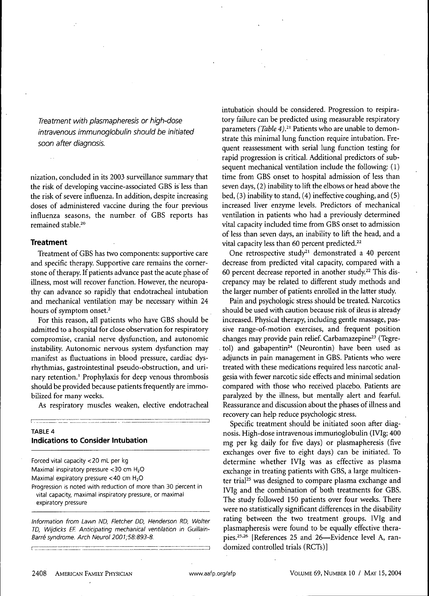Treatment with plasmapheresis or high-dose intravenous immunogiobulin should be initiated soon after diagnosis.

nization, concluded in its 2003 surveillance summary that the risk of developing vaccine-associated GBS is less than the risk of severe influenza. In addition, despite increasing doses of administered vaccine during the four previous influenza seasons, the number of GBS reports has remained stable.<sup>20</sup>

## **Treatment**

Treatment of GBS has two components: supportive care and specific therapy. Supportive care remains the cornerstone of therapy. If patients advance past the acute phase of illness, most wiU recover function. However, the neuropathy can advance so rapidly that endotracheal intubation and mechanical ventilation may be necessary within 24 hours of symptom onset.<sup>2</sup>

For this reason, all patients who have GBS should be admitted to a hospital for close observation for respiratory compromise, cranial nerve dysfunction, and autonomic instability. Autonomic nervous system dysfunction may manifest as fluctuations in blood pressure, cardiac dysrhythmias, gastrointestinal pseudo-obstruction, and urinary retention.' Prophylaxis for deep venous thrombosis should be provided because patients frequently are immobilized for many weeks.

As respiratory muscles weaken, elective endotracheal

# **TABLE 4 Indications to Consider Intubation**

] ^\_\_ \_

Forced vital capacity <20 mL per kg Maximal inspiratory pressure <30 cm H<sub>2</sub>O Maximal expiratory pressure  $<$  40 cm  $H<sub>2</sub>O$ Progression is noted with reduction of more than 30 percent in vital capacity, maximal inspiratory pressure, or maximal expiratory pressure

Information from Lawn ND, Fletcher DD, Henderson RD, Wolter TD, Wijdicks EF. Anticipating mechanical ventilation in Guiliain-Barré syndrome. Arch Neurol 2001;58:893-8.

intubation should be considered. Progression to respiratory failure can be predicted using measurable respiratory parameters *(Table 4)*.<sup>21</sup> Patients who are unable to demonstrate this minimal lung function require intubation. Frequent reassessment with serial lung function testing for rapid progression is critical. Additional predictors of subsequent mechanical ventilation include the following: (1) time from GBS onset to hospital admission of less than seven days, (2) inability to lift the elbows or head above the bed, (3) inability to stand, (4) ineffective coughing, and (5) increased liver enzyme levels. Predictors of mechanical ventilation in patients who had a previously determined vital capacity included time from GBS onset to admission of less than seven days, an inability to lift the head, and a vital capacity less than 60 percent predicted. $22$ 

One retrospective study<sup>21</sup> demonstrated a 40 percent decrease from predicted vital capacity, compared with a 60 percent decrease reported in another study.<sup>22</sup> This discrepancy may be related to different study methods and the larger number of patients enrolled in the latter study.

Pain and psychologic stress should be treated. Narcotics should be used with caution because risk of ileus is already increased. Physical therapy, including gentle massage, passive range-of-motion exercises, and frequent position changes may provide pain relief. Carbamazepine<sup>23</sup> (Tegretol) and gabapentin<sup>24</sup> (Neurontin) have been used as adjuncts in pain management in GBS. Patients who were treated with these medications required less narcotic analgesia with fewer narcotic side effects and minimal sedation compared with those who received placebo. Patients are paralyzed by the illness, but mentally alert and fearful. Reassurance and discussion about the phases of illness and recovery can help reduce psychologic stress.

Specific treatment should be initiated soon after diagnosis. High-dose intravenous immurioglobulin (IVIg; 400 mg per kg daily for five days) or plasmapheresis (five exchanges over five to eight days) can be initiated. To determine whether IVIg was as effective as plasma exchange in treating patients with GBS, a large multicenter trial<sup>25</sup> was designed to compare plasma exchange and IVIg and the combination of both treatments for GBS. The study followed 150 patients over four weeks. There were no statistically significant differences in the disability rating between the two treatment groups. IVIg and plasmapheresis were found to be equally effective therapies.<sup>25,26</sup> [References 25 and 26—Evidence level A, randomized controlled trials (RGTs)]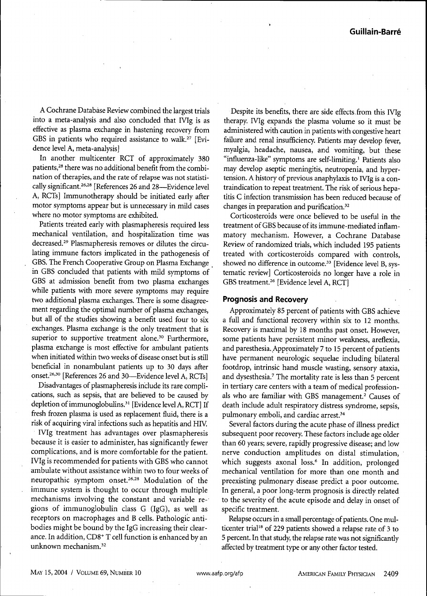A Cochrane Database Review combined the largest trials into a meta-analysis and also concluded that IVIg is as effective as plasma exchange in hastening recovery from GBS in patients who required assistance to walk.<sup>27</sup> [Evidence level A, meta-analysis]

In another multicenter RCT of approximately 380 patients,<sup>28</sup> there was no additional benefit from the combination of therapies, and the rate of relapse was not statistically significant.<sup>26,28</sup> [References 26 and 28—Evidence level A, RCTs] Immunotherapy should be initiated early after motor symptoms appear but is unnecessary in mild cases where no motor symptoms are exhibited.

Patients treated early with plasmapheresis required less mechanical ventilation, and hospitalization time was decreased.<sup>29</sup> Plasmapheresis removes or dilutes the circulating immune factors implicated in the pathogenesis of GBS. The French Cooperative Group on Plasma Exchange in GBS concluded that patients with mild symptoms of GBS at admission benefit from two plasma exchanges while patients with more severe symptoms may require two additional plasma exchanges. There is some disagreement regarding the optimal number of plasma exchanges, but all of the studies showing a benefit used four to six exchanges. Plasma exchange is the only treatment that is superior to supportive treatment alone.<sup>30</sup> Furthermore, plasma exchange is most effective for ambulant patients when initiated within two weeks of disease onset but is still beneficial in nonambulant patients up to 30 days after onset.<sup>26,30</sup> [References 26 and 30—Evidence level A, RCTs]

Disadvantages of plasmapheresis include its rare complications, such as sepsis, that are believed to be caused by depletion of immunoglobulins.<sup>31</sup> [Evidence level A, RCT] If fresh frozen plasma is used as replacement fluid, there is a risk of acquiring viral infections such as hepatitis and HIV.

IVIg treatment has advantages over plasmapheresis because it is easier to administer, has significantly fewer complications, and is more comfortable for the patient. IVIg is recommended for patients with GBS who cannot ambulate without assistance within two to four weeks of neuropathic symptom onset.<sup>26,28</sup> Modulation of the immune system is thought to occur through multiple mechanisms involving the constant and variable regions of immunoglobulin class G (IgG), as well as receptors on macrophages and B cells. Pathologic antibodies might be bound by the IgG increasing their clearance. In addition, CD8<sup>+</sup> T cell function is enhanced by an unknown mechanism.<sup>32</sup>

Despite its benefits, there are side effects from this IVIg therapy. IVIg expands the plasma volume so it must be administered with caution in patients with congestive heart failure and renal insufficiency. Patients may develop fever, myalgia, headache, nausea, and vomiting, but these "influenza-like" symptoms are self-limiting.' Patients also may develop aseptic meningitis, neutropenia, and hypertension. A history of previous anaphylaxis to IVIg is a contraindication to repeat treatment. The risk of serious hepatitis C infection transmission has been reduced because of changes in preparation and purification. $32$ 

Corticosteroids were once believed to be useful in the treatment of GBS because of its immune-mediated inflammatory mechanism. However, a Cochrane Database Review of randomized trials, which included 195 patients treated with cprticosteroids compared with controls, showed no difference in outcome.<sup>33</sup> [Evidence level B, systematic review] Corticosteroids no longer have a role in GBS treatment.<sup>26</sup> [Evidence level A, RCT]

## **Prognosis and Recovery**

Approximately 85 percent of patients with GBS achieve a full and functional recovery within six to 12 months. Recovery is maximal by 18 months past onset. However, some patients have persistent minor weakness, areflexia, and paresthesia. Approximately 7 to 15 percent of patients have permanent neurologic sequelae including bilateral footdrop, intrinsic hand muscle wasting, sensory ataxia, and dysesthesia.<sup>7</sup> The mortality rate is less than 5 percent in tertiary care centers with a team of medical professionals who are familiar with GBS management.<sup>2</sup> Causes of death include adult respiratory distress syndrome, sepsis, pulmonary emboli, and cardiac arrest.<sup>34</sup>

Several factors during the acute phase of illness predict subsequent poor recovery. These factors include age older than 60 years; severe, rapidly progressive disease; and low nerve conduction amplitudes on distal stimulation, which suggests axonal loss.<sup>6</sup> In addition, prolonged mechanical ventilation for more than one month and preexisting pulmonary disease predict a poor outcome. In general, a poor long-term prognosis is directly related to the severity of the acute episode and delay in onset of specific treatment.

Relapse occurs in a small percentage of patients. One multicenter trial<sup>18</sup> of 229 patients showed a relapse rate of 3 to 5 percent. In that study, the relapse rate was not significantly affected by treatment type or any other factor tested.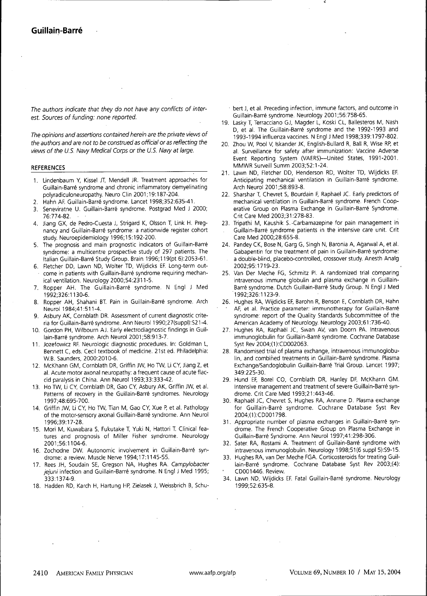The authors indicate that they do not have any conflicts of interest. Sources of funding: none reported.

The opinions and assertions contained herein are the private views of the authors and are not to be construed as official or as reflecting the views of the U.S. Navy Medical Corps or the U.S. Navy at large.

### **REFERENCES**

- 1. Lindenbaum Y, Kissel JT, Mendell JR. Treatment approaches for Guillain-Barré syndrome and chronic inflammatory demyelinating polyradiculoneuropathy. Neuro Clin 2001;19:187-204.
- Hahn AF. Guillain-Barré syndrome. Lancet 1998;352:635-41.
- 3. Seneviratne U. Guillain-Barré syndrome. Postgrad Med J 2000; 76:774-82.
- 4. Jiang GX, de Pedro-Cuesta J, Strigard K, Olsson T, Link H. Pregnancy and Guillain-Barré syndrome: a nationwide register cohort study. Neuroepidemiology 1996; 15:192-200.
- 5. The prognosis and main prognostic indicators of Guillain-Barré syndrome: a multicentre prospective study of 297 patients. The Italian Guillain-Barr6 Study Group. Brain 1996; 119(pt 6):2053-61.
- 6. Fletcher DD, Lawn ND, Wolter TD, Wijdicks EF Long-term outcome in patients with Guillain-Barré syndrome requiring mechanical ventilation. Neurology 2000;54:2311-5.
- 7. Ropper AH. The Guillain-Barré syndrome. N Engl J Med 1992;326:1130-6.
- 8. Ropper AH, Shahani BT. Pain in Guillain-Barré syndrome. Arch Neurol 1984;41:511-4.
- Asbury AK, Cornblath DR. Assessment of current diagnostic criteria for Guillain-Barr6 syndrome. Ann Neurol 1990;27(suppl):S21 -4.
- 10. Gordon PH, Wilbourn AJ. Early electrodiagnostic findings in Guiilain-Barré syndrome. Arch Neurol 2001;58:913-7.
- 11. Jozefowicz RR Neurologic diagnostic procedures. In: Goldman L, Bennett C, eds. Cecil textbook of medicine. 21st ed. Philadelphia: W.B. Saunders, 2000:2010-6.
- 12. McKhann GM, Cornblath DR, Griffin JW, Ho TW, Li CY, Jiang Z, et al. Acute motor axonal neuropathy: a frequent cause of acute flaccid paralysis in China. Ann Neurol 1993;33:333-42.
- 13. Ho TW, Li CY, Cornblath DR, Gao CY, Asbury AK, Griffin JW, et al. Patterns of recovery in the Guillain-Barré syndromes. Neurology 1997;48:695-700.
- 14. Griffin JW, Li CY, Ho TW, Tian M, Gao CY, Xue P, et al. Pathology of the motor-sensory axonal Guillain-Barré syndrome. Ann Neurol 1996;39:17-28.
- 15. Mori M, Kuwabara S, Fukutake T, Yuki N, Hattori T. Clinical features and prognosis of Miller Fisher syndrome. Neurology 2001 ;56:1104-6.
- 16. Zochodne DW. Autonomic involvement in Guillain-Barré syndrome: a review. Muscle Nerve 1994;17:1145-55.
- 17. Rees JH, Soudain SE, Gregson NA, Hughes RA. Campylobacter jejuni infection and Guillain-Barré syndrome. N Engl J Med 1995; 333:1374-9.
- 18. Hadden RD, Karch H, Hartung HP, Zielasek J, Weissbrich B, Schu-

bert J, et al. Preceding infection, immune factors, and outcome in Guillain-Barr6 syndrome. Neurology 2001;56:758-65.

- 19. Lasky T, Terracciano GJ, Magder L, Koski CL, Ballesteros M, Nash D, et al. The Guillain-Barré syndrome and the 1992-1993 and 1993-1994 influenza vaccines. N EnglJ Med 1998;339:1797-802.
- 20. Zhou W, Pool V, Iskander JK, English-Bullard R, Ball R, Wise RP, et al. Surveillance for safety after immunization: Vaccine Adverse Event Reporting System (VAERS)—United States, 1991-2001. MMWR Surveill Summ 2003;52:1-24.
- 21. Lawn ND, Fletcher DD, Henderson RD, Wolter TD, Wijdicks EF. Anticipating mechanical ventilation in Guillain-Barré syndrome. Arch Neurol 2001;58:893-8.
- 22. Sharshar T, Chevret S, Bourdain F, Raphael JC. Early predictors of mechanical ventilation in Guillain-Barré syndrome. French Cooperative Group on Plasma Exchange in Guillain-Barré Syndrome. Crit Care Med 2003;31:278-83.
- 23. Tripathi M, Kaushik S.-Carbamazepine for pain management in Guillain-Barr6 syndrome patients in the intensive care unit. Crit Care Med 2000;28:655-8.
- 24. Pandey CK, Bose N, Garg G, Singh N, Baronia A, Agarwal A, et al. Gabapentin for the treatment of pain in Guillain-Barré syndrome: . a double-blind, placebo-controlled, crossover study. Anesth Anaig 2002;95:1719-23.
- 25. Van Der Meche FG, Schmitz PI. A randomized trial comparing intravenous immune globulin and plasma exchange in Guillain-Barré syndrome. Dutch Guillain-Barré Study Group. N Engl J Med 1992;326:1123-9.
- 26. Hughes RA, Wijdicks EF, Barohn R, Benson E, Cornblath DR, Hahn AF, et al. Practice parameter: immunotherapy for Guillain-Barré syndrome: report of the Quality Standards Subcommittee of the American Academy of Neurology Neurology 2003;61:736-40.
- 27. Hughes RA, Raphael JC, Swan AV, van Doom PA. Intravenous immunoglobulin for Guillain-Barré syndrome. Cochrane Database Syst Rev 2004;(1):CD002063.
- 28. Randomised trial of plasma exchange, intravenous immunoglobulin, and combined treatments in Guillain-Barré syndrome. Plasma Exchange/Sandoglobulin Guillain-Barr6 Trial Group. Lancet 1997; 349:225-30.
- 29. Hund EF, Borel CO, Cornblath DR, Hanley DF, McKhann GM. Intensive management and treatment of severe Guillain-Barré syndrome. Crit Care Med 1993;21:443-46.
- 30. Raphael JC, Chevret S, Hughes RA, Annane D. Plasma exchange for Guillain-Barré syndrome. Cochrane Database Syst Rev 2004;(1):CD001798.
- 31. Appropriate number of plasma exchanges in Guillain-Barré syndrome. The French Cooperative Group on Plasma Exchange in Guillain-Barr^ Syndrome. Ann Neurol 1997;41:298-306.
- 32. Sater RA, Rostami A. Treatment of Guillain-Barré syndrome with intravenous immunoglobulin. Neurology 1998;51(6 suppi 5):S9-15.
- 33. Hughes RA, van Der Meche FGA. Corticosteroids for treating Guillain-Barré syndrome. Cochrane Database Syst Rev 2003;(4): CD001446. Review.
- 34. Lawn ND, Wijdicks EF. Fatal Guillain-Barr6 syndrome. Neurology 1999;52:635-8.